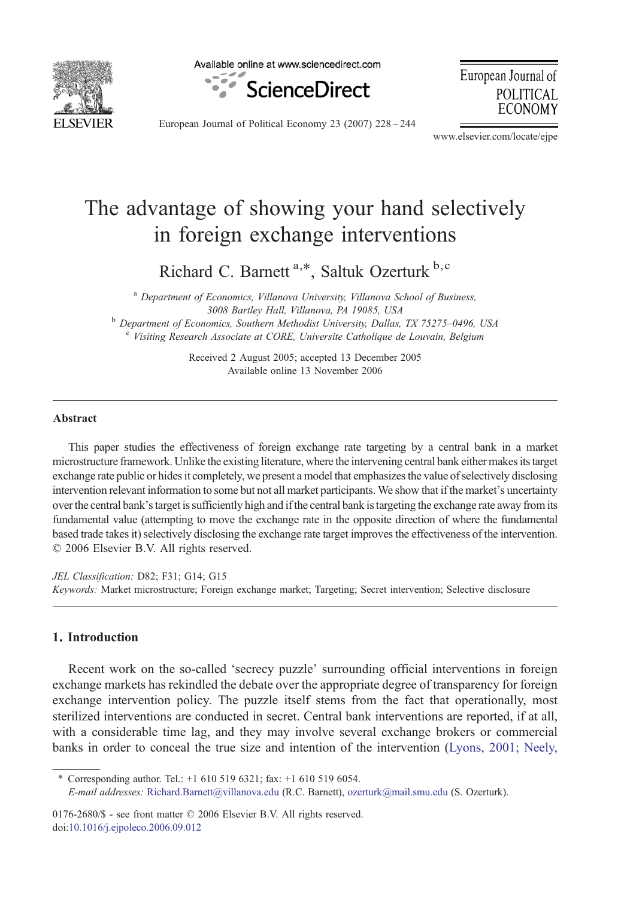

Available online at www.sciencedirect.com



European Journal of POLITICAL **ECONOMY** 

European Journal of Political Economy 23 (2007) 228–244

www.elsevier.com/locate/ejpe

## The advantage of showing your hand selectively in foreign exchange interventions

Richard C. Barnett<sup>a,\*</sup>, Saltuk Ozerturk b,c

<sup>a</sup> Department of Economics, Villanova University, Villanova School of Business, 3008 Bartley Hall, Villanova, PA 19085, USA b Department of Economics, Southern Methodist University, Dallas, TX 75275–0496, USA c Visiting Research Associate at CORE, Universite Catholique de Louvain, Belgium

> Received 2 August 2005; accepted 13 December 2005 Available online 13 November 2006

## Abstract

This paper studies the effectiveness of foreign exchange rate targeting by a central bank in a market microstructure framework. Unlike the existing literature, where the intervening central bank either makes its target exchange rate public or hides it completely, we present a model that emphasizes the value of selectively disclosing intervention relevant information to some but not all market participants. We show that if the market's uncertainty over the central bank's target is sufficiently high and if the central bank is targeting the exchange rate away from its fundamental value (attempting to move the exchange rate in the opposite direction of where the fundamental based trade takes it) selectively disclosing the exchange rate target improves the effectiveness of the intervention. © 2006 Elsevier B.V. All rights reserved.

JEL Classification: D82; F31; G14; G15 Keywords: Market microstructure; Foreign exchange market; Targeting; Secret intervention; Selective disclosure

## 1. Introduction

Recent work on the so-called 'secrecy puzzle' surrounding official interventions in foreign exchange markets has rekindled the debate over the appropriate degree of transparency for foreign exchange intervention policy. The puzzle itself stems from the fact that operationally, most sterilized interventions are conducted in secret. Central bank interventions are reported, if at all, with a considerable time lag, and they may involve several exchange brokers or commercial banks in order to conceal the true size and intention of the intervention [\(Lyons, 2001; Neely,](#page--1-0)

⁎ Corresponding author. Tel.: +1 610 519 6321; fax: +1 610 519 6054.

0176-2680/\$ - see front matter © 2006 Elsevier B.V. All rights reserved. doi[:10.1016/j.ejpoleco.2006.09.012](http://dx.doi.org/10.1016/j.ejpoleco.2006.09.012)

E-mail addresses: [Richard.Barnett@villanova.edu](mailto:Richard.Barnett@villanova.edu) (R.C. Barnett), [ozerturk@mail.smu.edu](mailto:ozerturk@mail.smu.edu) (S. Ozerturk).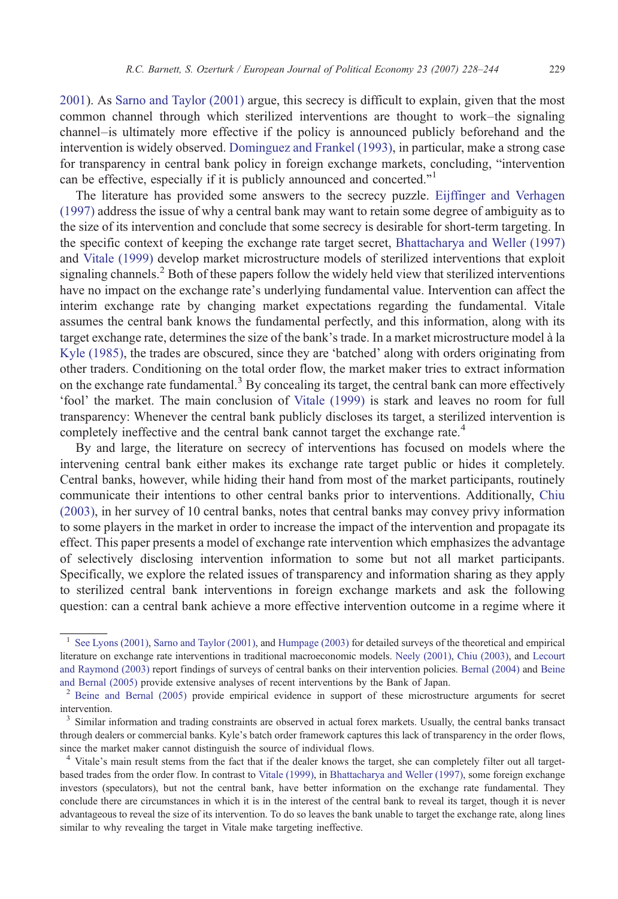[2001](#page--1-0)). As [Sarno and Taylor \(2001\)](#page--1-0) argue, this secrecy is difficult to explain, given that the most common channel through which sterilized interventions are thought to work–the signaling channel–is ultimately more effective if the policy is announced publicly beforehand and the intervention is widely observed. [Dominguez and Frankel \(1993\)](#page--1-0), in particular, make a strong case for transparency in central bank policy in foreign exchange markets, concluding, "intervention can be effective, especially if it is publicly announced and concerted."<sup>1</sup>

The literature has provided some answers to the secrecy puzzle. [Eijffinger and Verhagen](#page--1-0) [\(1997\)](#page--1-0) address the issue of why a central bank may want to retain some degree of ambiguity as to the size of its intervention and conclude that some secrecy is desirable for short-term targeting. In the specific context of keeping the exchange rate target secret, [Bhattacharya and Weller \(1997\)](#page--1-0) and [Vitale \(1999\)](#page--1-0) develop market microstructure models of sterilized interventions that exploit signaling channels.<sup>2</sup> Both of these papers follow the widely held view that sterilized interventions have no impact on the exchange rate's underlying fundamental value. Intervention can affect the interim exchange rate by changing market expectations regarding the fundamental. Vitale assumes the central bank knows the fundamental perfectly, and this information, along with its target exchange rate, determines the size of the bank's trade. In a market microstructure model à la [Kyle \(1985\),](#page--1-0) the trades are obscured, since they are 'batched' along with orders originating from other traders. Conditioning on the total order flow, the market maker tries to extract information on the exchange rate fundamental.<sup>3</sup> By concealing its target, the central bank can more effectively 'fool' the market. The main conclusion of [Vitale \(1999\)](#page--1-0) is stark and leaves no room for full transparency: Whenever the central bank publicly discloses its target, a sterilized intervention is completely ineffective and the central bank cannot target the exchange rate.<sup>4</sup>

By and large, the literature on secrecy of interventions has focused on models where the intervening central bank either makes its exchange rate target public or hides it completely. Central banks, however, while hiding their hand from most of the market participants, routinely communicate their intentions to other central banks prior to interventions. Additionally, [Chiu](#page--1-0) [\(2003\),](#page--1-0) in her survey of 10 central banks, notes that central banks may convey privy information to some players in the market in order to increase the impact of the intervention and propagate its effect. This paper presents a model of exchange rate intervention which emphasizes the advantage of selectively disclosing intervention information to some but not all market participants. Specifically, we explore the related issues of transparency and information sharing as they apply to sterilized central bank interventions in foreign exchange markets and ask the following question: can a central bank achieve a more effective intervention outcome in a regime where it

<sup>1</sup> [See Lyons \(2001\)](#page--1-0), [Sarno and Taylor \(2001\)](#page--1-0), and [Humpage \(2003\)](#page--1-0) for detailed surveys of the theoretical and empirical literature on exchange rate interventions in traditional macroeconomic models. [Neely \(2001\),](#page--1-0) [Chiu \(2003\)](#page--1-0), and [Lecourt](#page--1-0) [and Raymond \(2003\)](#page--1-0) report findings of surveys of central banks on their intervention policies. [Bernal \(2004\)](#page--1-0) and [Beine](#page--1-0) [and Bernal \(2005\)](#page--1-0) provide extensive analyses of recent interventions by the Bank of Japan.<br><sup>2</sup> [Beine and Bernal \(2005\)](#page--1-0) provide empirical evidence in support of these microstructure arguments for secret

intervention.

<sup>&</sup>lt;sup>3</sup> Similar information and trading constraints are observed in actual forex markets. Usually, the central banks transact through dealers or commercial banks. Kyle's batch order framework captures this lack of transparency in the order flows, since the market maker cannot distinguish the source of individual flows.

<sup>&</sup>lt;sup>4</sup> Vitale's main result stems from the fact that if the dealer knows the target, she can completely filter out all targetbased trades from the order flow. In contrast to [Vitale \(1999\),](#page--1-0) in [Bhattacharya and Weller \(1997\),](#page--1-0) some foreign exchange investors (speculators), but not the central bank, have better information on the exchange rate fundamental. They conclude there are circumstances in which it is in the interest of the central bank to reveal its target, though it is never advantageous to reveal the size of its intervention. To do so leaves the bank unable to target the exchange rate, along lines similar to why revealing the target in Vitale make targeting ineffective.